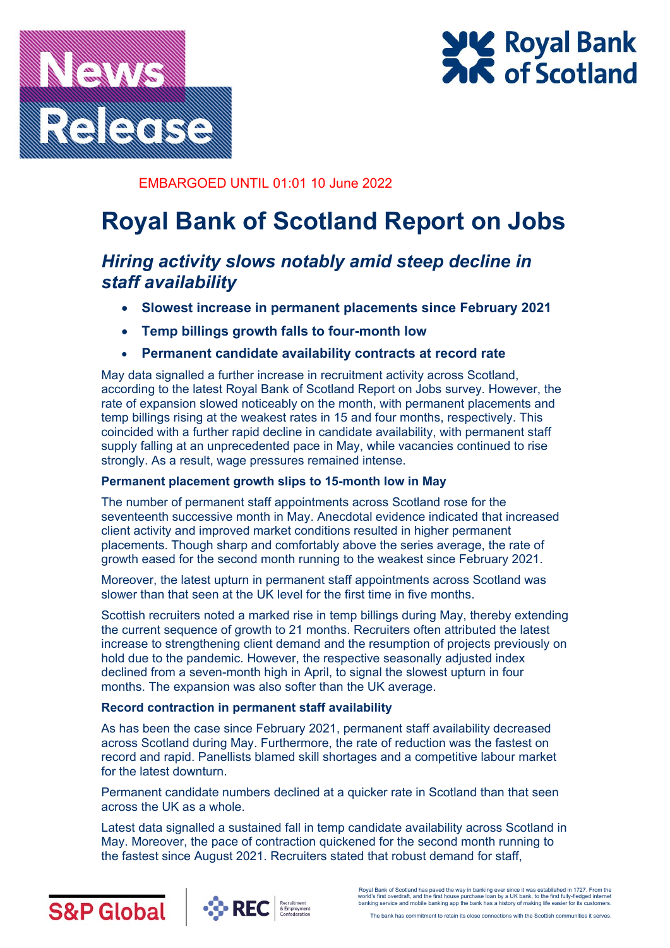



## EMBARGOED UNTIL 01:01 10 June 2022

# **Royal Bank of Scotland Report on Jobs**

## *Hiring activity slows notably amid steep decline in staff availability*

- **Slowest increase in permanent placements since February 2021**
- **Temp billings growth falls to four-month low**
- **Permanent candidate availability contracts at record rate**

May data signalled a further increase in recruitment activity across Scotland, according to the latest Royal Bank of Scotland Report on Jobs survey. However, the rate of expansion slowed noticeably on the month, with permanent placements and temp billings rising at the weakest rates in 15 and four months, respectively. This coincided with a further rapid decline in candidate availability, with permanent staff supply falling at an unprecedented pace in May, while vacancies continued to rise strongly. As a result, wage pressures remained intense.

## **Permanent placement growth slips to 15-month low in May**

The number of permanent staff appointments across Scotland rose for the seventeenth successive month in May. Anecdotal evidence indicated that increased client activity and improved market conditions resulted in higher permanent placements. Though sharp and comfortably above the series average, the rate of growth eased for the second month running to the weakest since February 2021.

Moreover, the latest upturn in permanent staff appointments across Scotland was slower than that seen at the UK level for the first time in five months.

Scottish recruiters noted a marked rise in temp billings during May, thereby extending the current sequence of growth to 21 months. Recruiters often attributed the latest increase to strengthening client demand and the resumption of projects previously on hold due to the pandemic. However, the respective seasonally adjusted index declined from a seven-month high in April, to signal the slowest upturn in four months. The expansion was also softer than the UK average.

## **Record contraction in permanent staff availability**

As has been the case since February 2021, permanent staff availability decreased across Scotland during May. Furthermore, the rate of reduction was the fastest on record and rapid. Panellists blamed skill shortages and a competitive labour market for the latest downturn.

Permanent candidate numbers declined at a quicker rate in Scotland than that seen across the UK as a whole.

Latest data signalled a sustained fall in temp candidate availability across Scotland in May. Moreover, the pace of contraction quickened for the second month running to the fastest since August 2021. Recruiters stated that robust demand for staff,





Royal Bank of Scotland has paved the way in banking ever since it was established in 1727. From the world's first overdraft, and the first house purchase loan by a UK bank, to the first fully-fledged internet banking service and mobile banking app the bank has a history of making life easier for its customers.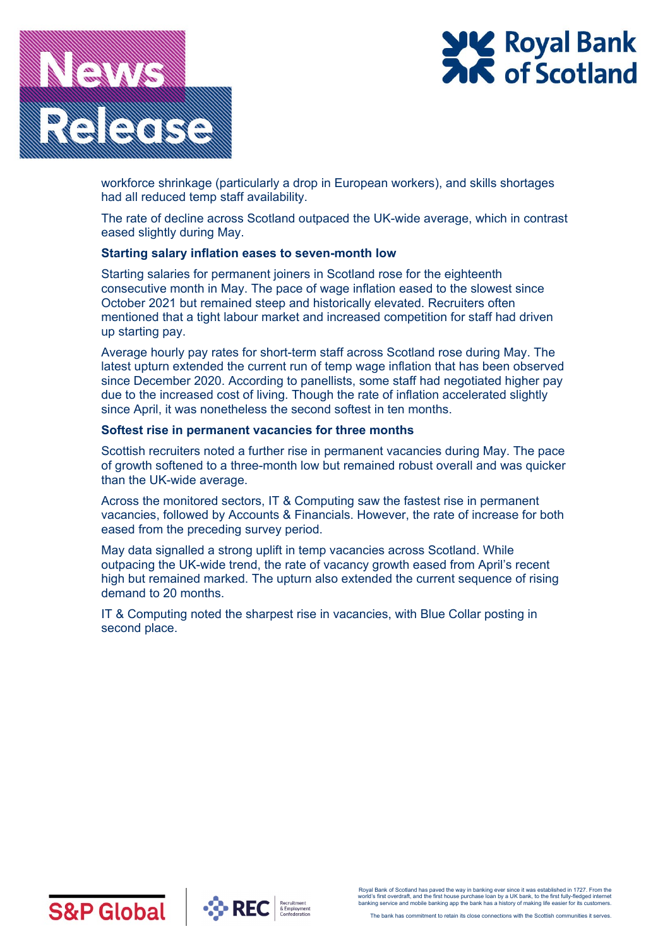



workforce shrinkage (particularly a drop in European workers), and skills shortages had all reduced temp staff availability.

The rate of decline across Scotland outpaced the UK-wide average, which in contrast eased slightly during May.

#### **Starting salary inflation eases to seven-month low**

Starting salaries for permanent joiners in Scotland rose for the eighteenth consecutive month in May. The pace of wage inflation eased to the slowest since October 2021 but remained steep and historically elevated. Recruiters often mentioned that a tight labour market and increased competition for staff had driven up starting pay.

Average hourly pay rates for short-term staff across Scotland rose during May. The latest upturn extended the current run of temp wage inflation that has been observed since December 2020. According to panellists, some staff had negotiated higher pay due to the increased cost of living. Though the rate of inflation accelerated slightly since April, it was nonetheless the second softest in ten months.

#### **Softest rise in permanent vacancies for three months**

Scottish recruiters noted a further rise in permanent vacancies during May. The pace of growth softened to a three-month low but remained robust overall and was quicker than the UK-wide average.

Across the monitored sectors, IT & Computing saw the fastest rise in permanent vacancies, followed by Accounts & Financials. However, the rate of increase for both eased from the preceding survey period.

May data signalled a strong uplift in temp vacancies across Scotland. While outpacing the UK-wide trend, the rate of vacancy growth eased from April's recent high but remained marked. The upturn also extended the current sequence of rising demand to 20 months.

IT & Computing noted the sharpest rise in vacancies, with Blue Collar posting in second place.



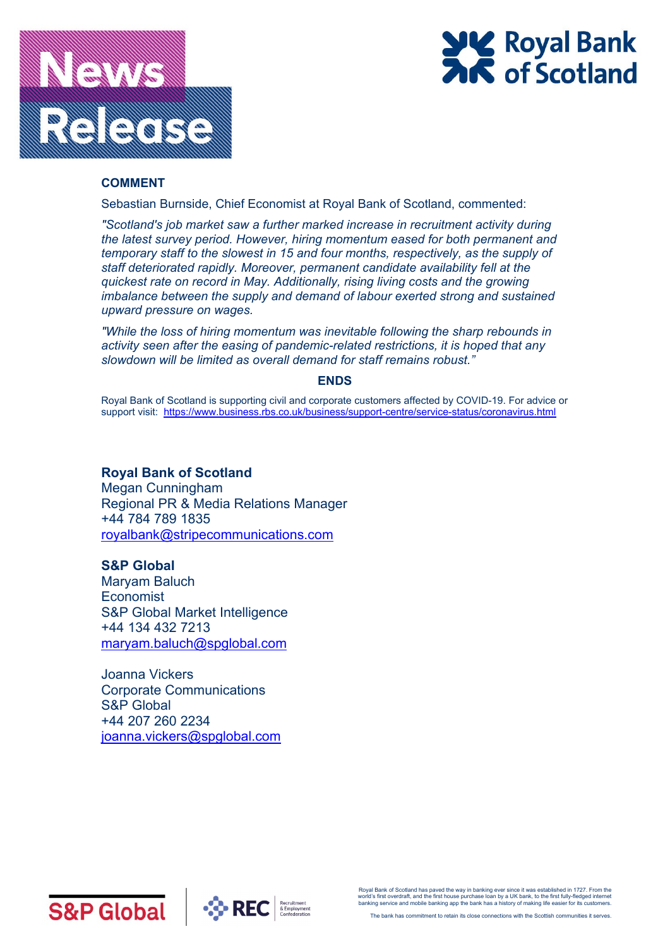



#### **COMMENT**

Sebastian Burnside, Chief Economist at Royal Bank of Scotland, commented:

*"Scotland's job market saw a further marked increase in recruitment activity during the latest survey period. However, hiring momentum eased for both permanent and temporary staff to the slowest in 15 and four months, respectively, as the supply of staff deteriorated rapidly. Moreover, permanent candidate availability fell at the quickest rate on record in May. Additionally, rising living costs and the growing imbalance between the supply and demand of labour exerted strong and sustained upward pressure on wages.* 

*"While the loss of hiring momentum was inevitable following the sharp rebounds in activity seen after the easing of pandemic-related restrictions, it is hoped that any slowdown will be limited as overall demand for staff remains robust."*

#### **ENDS**

Royal Bank of Scotland is supporting civil and corporate customers affected by COVID-19. For advice or support visit: [https://www.business.rbs.co.uk/business/support-centre/service-status/coronavirus.html](https://nam04.safelinks.protection.outlook.com/?url=https%3A%2F%2Fwww.business.rbs.co.uk%2Fbusiness%2Fsupport-centre%2Fservice-status%2Fcoronavirus.html&data=02%7C01%7CLewis.Cooper%40ihsmarkit.com%7C0ba52e862a98489e786208d7da336208%7Cc1156c2fa3bb4fc4ac073eab96da8d10%7C1%7C0%7C637217786537685639&sdata=WAZl3SrfZOb0Q18Ir5OvU4bhvKZzs3K9BLMmEG3DvP4%3D&reserved=0)

## **Royal Bank of Scotland**

Megan Cunningham Regional PR & Media Relations Manager +44 784 789 1835 [royalbank@stripecommunications.com](mailto:royalbank@stripecommunications.com)

## **S&P Global**

Maryam Baluch **Economist** S&P Global Market Intelligence +44 134 432 7213 [maryam.baluch@spglobal.com](mailto:lewis.cooper@spglobal.com)

Joanna Vickers Corporate Communications S&P Global +44 207 260 2234 [joanna.vickers@spglobal.com](mailto:joanna.vickers@spglobal.com)





Royal Bank of Scotland has paved the way in banking ever since it was established in 1727. From the world's first overdraft, and the first house purchase loan by a UK bank, to the first fully-fledged internet banking service and mobile banking app the bank has a history of making life easier for its customers.